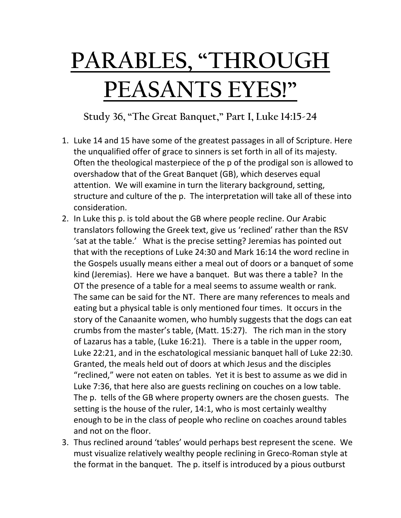## **PARABLES, "THROUGH PEASANTS EYES!"**

**Study 36, "The Great Banquet," Part I, Luke 14:15-24**

- 1. Luke 14 and 15 have some of the greatest passages in all of Scripture. Here the unqualified offer of grace to sinners is set forth in all of its majesty. Often the theological masterpiece of the p of the prodigal son is allowed to overshadow that of the Great Banquet (GB), which deserves equal attention. We will examine in turn the literary background, setting, structure and culture of the p. The interpretation will take all of these into consideration.
- 2. In Luke this p. is told about the GB where people recline. Our Arabic translators following the Greek text, give us 'reclined' rather than the RSV 'sat at the table.' What is the precise setting? Jeremias has pointed out that with the receptions of Luke 24:30 and Mark 16:14 the word recline in the Gospels usually means either a meal out of doors or a banquet of some kind (Jeremias). Here we have a banquet. But was there a table? In the OT the presence of a table for a meal seems to assume wealth or rank. The same can be said for the NT. There are many references to meals and eating but a physical table is only mentioned four times. It occurs in the story of the Canaanite women, who humbly suggests that the dogs can eat crumbs from the master's table, (Matt. 15:27). The rich man in the story of Lazarus has a table, (Luke 16:21). There is a table in the upper room, Luke 22:21, and in the eschatological messianic banquet hall of Luke 22:30. Granted, the meals held out of doors at which Jesus and the disciples "reclined," were not eaten on tables. Yet it is best to assume as we did in Luke 7:36, that here also are guests reclining on couches on a low table. The p. tells of the GB where property owners are the chosen guests. The setting is the house of the ruler, 14:1, who is most certainly wealthy enough to be in the class of people who recline on coaches around tables and not on the floor.
- 3. Thus reclined around 'tables' would perhaps best represent the scene. We must visualize relatively wealthy people reclining in Greco-Roman style at the format in the banquet. The p. itself is introduced by a pious outburst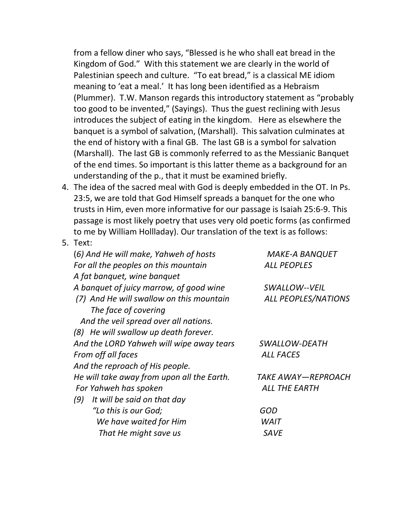from a fellow diner who says, "Blessed is he who shall eat bread in the Kingdom of God." With this statement we are clearly in the world of Palestinian speech and culture. "To eat bread," is a classical ME idiom meaning to 'eat a meal.' It has long been identified as a Hebraism (Plummer). T.W. Manson regards this introductory statement as "probably too good to be invented," (Sayings). Thus the guest reclining with Jesus introduces the subject of eating in the kingdom. Here as elsewhere the banquet is a symbol of salvation, (Marshall). This salvation culminates at the end of history with a final GB. The last GB is a symbol for salvation (Marshall). The last GB is commonly referred to as the Messianic Banquet of the end times. So important is this latter theme as a background for an understanding of the p., that it must be examined briefly.

- 4. The idea of the sacred meal with God is deeply embedded in the OT. In Ps. 23:5, we are told that God Himself spreads a banquet for the one who trusts in Him, even more informative for our passage is Isaiah 25:6-9. This passage is most likely poetry that uses very old poetic forms (as confirmed to me by William Hollladay). Our translation of the text is as follows:
- 5. Text:

| (6) And He will make, Yahweh of hosts      | <b>MAKE-A BANQUET</b>      |
|--------------------------------------------|----------------------------|
| For all the peoples on this mountain       | <b>ALL PEOPLES</b>         |
| A fat banquet, wine banquet                |                            |
| A banquet of juicy marrow, of good wine    | SWALLOW--VEIL              |
| (7) And He will swallow on this mountain   | <b>ALL PEOPLES/NATIONS</b> |
| The face of covering                       |                            |
| And the veil spread over all nations.      |                            |
| (8) He will swallow up death forever.      |                            |
| And the LORD Yahweh will wipe away tears   | SWALLOW-DEATH              |
| From off all faces                         | <b>ALL FACES</b>           |
| And the reproach of His people.            |                            |
| He will take away from upon all the Earth. | TAKE AWAY—REPROACH         |
| For Yahweh has spoken                      | ALL THE EARTH              |
| It will be said on that day<br>(9)         |                            |
| "Lo this is our God;                       | GOD                        |
| We have waited for Him                     | WAIT                       |
| That He might save us                      | SAVE                       |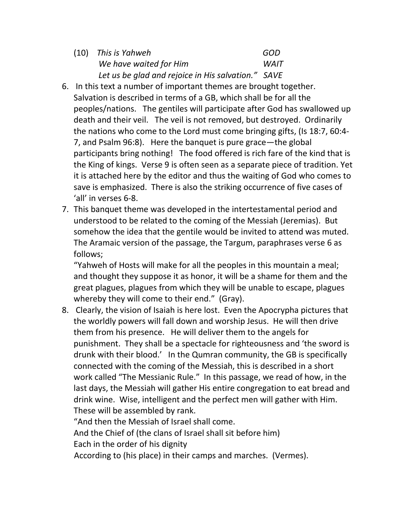| (10) This is Yahweh                                | GOD         |
|----------------------------------------------------|-------------|
| We have waited for Him                             | <b>WAIT</b> |
| Let us be glad and rejoice in His salvation." SAVE |             |

- 6. In this text a number of important themes are brought together. Salvation is described in terms of a GB, which shall be for all the peoples/nations. The gentiles will participate after God has swallowed up death and their veil. The veil is not removed, but destroyed. Ordinarily the nations who come to the Lord must come bringing gifts, (Is 18:7, 60:4- 7, and Psalm 96:8). Here the banquet is pure grace—the global participants bring nothing! The food offered is rich fare of the kind that is the King of kings. Verse 9 is often seen as a separate piece of tradition. Yet it is attached here by the editor and thus the waiting of God who comes to save is emphasized. There is also the striking occurrence of five cases of 'all' in verses 6-8.
- 7. This banquet theme was developed in the intertestamental period and understood to be related to the coming of the Messiah (Jeremias). But somehow the idea that the gentile would be invited to attend was muted. The Aramaic version of the passage, the Targum, paraphrases verse 6 as follows;

"Yahweh of Hosts will make for all the peoples in this mountain a meal; and thought they suppose it as honor, it will be a shame for them and the great plagues, plagues from which they will be unable to escape, plagues whereby they will come to their end." (Gray).

8. Clearly, the vision of Isaiah is here lost. Even the Apocrypha pictures that the worldly powers will fall down and worship Jesus. He will then drive them from his presence. He will deliver them to the angels for punishment. They shall be a spectacle for righteousness and 'the sword is drunk with their blood.' In the Qumran community, the GB is specifically connected with the coming of the Messiah, this is described in a short work called "The Messianic Rule." In this passage, we read of how, in the last days, the Messiah will gather His entire congregation to eat bread and drink wine. Wise, intelligent and the perfect men will gather with Him. These will be assembled by rank.

"And then the Messiah of Israel shall come.

And the Chief of (the clans of Israel shall sit before him)

Each in the order of his dignity

According to (his place) in their camps and marches. (Vermes).